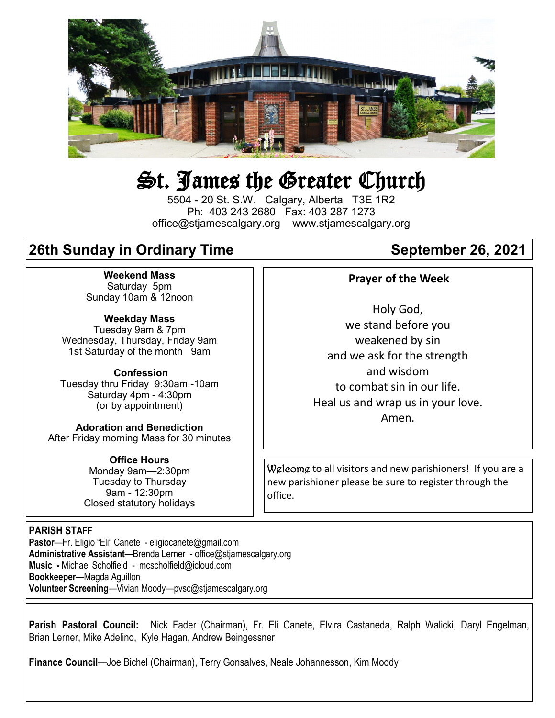

# St. James the Greater Church

5504 - 20 St. S.W. Calgary, Alberta T3E 1R2 Ph: 403 243 2680 Fax: 403 287 1273 office@stjamescalgary.org www.stjamescalgary.org

# **26th Sunday in Ordinary Time September 26, 2021**

**Weekend Mass** Saturday 5pm Sunday 10am & 12noon

**Weekday Mass** Tuesday 9am & 7pm Wednesday, Thursday, Friday 9am 1st Saturday of the month 9am

**Confession** Tuesday thru Friday 9:30am -10am Saturday 4pm - 4:30pm (or by appointment)

**Adoration and Benediction**  After Friday morning Mass for 30 minutes

> **Office Hours**  Monday 9am—2:30pm Tuesday to Thursday 9am - 12:30pm Closed statutory holidays

### **PARISH STAFF**

**Pastor**—Fr. Eligio "Eli" Canete - eligiocanete@gmail.com **Administrative Assistant**—Brenda Lerner - office@stjamescalgary.org **Music -** Michael Scholfield - mcscholfield@icloud.com **Bookkeeper—**Magda Aguillon **Volunteer Screening**—Vivian Moody—pvsc@stjamescalgary.org

### **Prayer of the Week**

Holy God, we stand before you weakened by sin and we ask for the strength and wisdom to combat sin in our life. Heal us and wrap us in your love. Amen.

Welcome to all visitors and new parishioners! If you are a new parishioner please be sure to register through the office.

**Parish Pastoral Council:** Nick Fader (Chairman), Fr. Eli Canete, Elvira Castaneda, Ralph Walicki, Daryl Engelman, Brian Lerner, Mike Adelino, Kyle Hagan, Andrew Beingessner

**Finance Council**—Joe Bichel (Chairman), Terry Gonsalves, Neale Johannesson, Kim Moody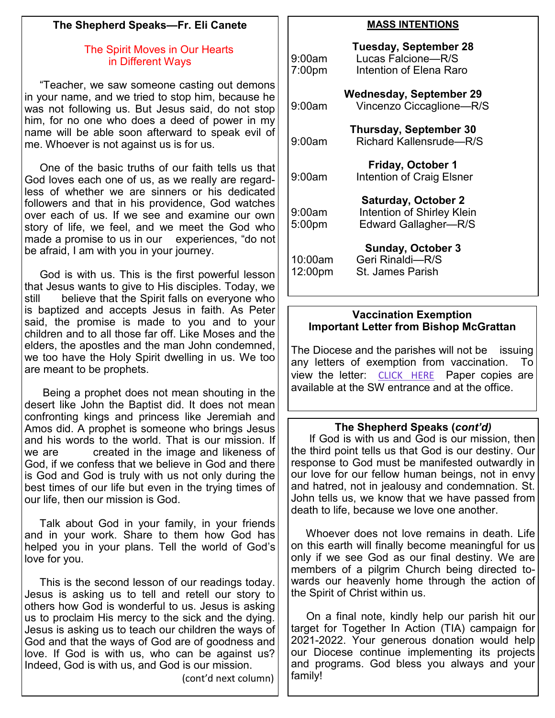# **The Shepherd Speaks—Fr. Eli Canete**

# The Spirit Moves in Our Hearts in Different Ways

 "Teacher, we saw someone casting out demons in your name, and we tried to stop him, because he was not following us. But Jesus said, do not stop him, for no one who does a deed of power in my name will be able soon afterward to speak evil of me. Whoever is not against us is for us.

 One of the basic truths of our faith tells us that God loves each one of us, as we really are regardless of whether we are sinners or his dedicated followers and that in his providence, God watches over each of us. If we see and examine our own story of life, we feel, and we meet the God who made a promise to us in our experiences, "do not be afraid, I am with you in your journey.

 God is with us. This is the first powerful lesson that Jesus wants to give to His disciples. Today, we still believe that the Spirit falls on everyone who is baptized and accepts Jesus in faith. As Peter said, the promise is made to you and to your children and to all those far off. Like Moses and the elders, the apostles and the man John condemned, we too have the Holy Spirit dwelling in us. We too are meant to be prophets.

 Being a prophet does not mean shouting in the desert like John the Baptist did. It does not mean confronting kings and princess like Jeremiah and Amos did. A prophet is someone who brings Jesus and his words to the world. That is our mission. If we are created in the image and likeness of God, if we confess that we believe in God and there is God and God is truly with us not only during the best times of our life but even in the trying times of our life, then our mission is God.

 Talk about God in your family, in your friends and in your work. Share to them how God has helped you in your plans. Tell the world of God's love for you.

 This is the second lesson of our readings today. Jesus is asking us to tell and retell our story to others how God is wonderful to us. Jesus is asking us to proclaim His mercy to the sick and the dying. Jesus is asking us to teach our children the ways of God and that the ways of God are of goodness and love. If God is with us, who can be against us? Indeed, God is with us, and God is our mission.

(cont'd next column)

# **MASS INTENTIONS**

| 9:00am<br>7:00 <sub>pm</sub> | <b>Tuesday, September 28</b><br>Lucas Falcione-R/S<br>Intention of Elena Raro    |
|------------------------------|----------------------------------------------------------------------------------|
| 9:00am                       | Wednesday, September 29<br>Vincenzo Ciccaglione-R/S                              |
| 9:00am                       | <b>Thursday, September 30</b><br>Richard Kallensrude-R/S                         |
| 9:00am                       | <b>Friday, October 1</b><br><b>Intention of Craig Elsner</b>                     |
| 9:00am<br>5:00pm             | <b>Saturday, October 2</b><br>Intention of Shirley Klein<br>Edward Gallagher-R/S |
| 10:00am<br>12:00pm           | <b>Sunday, October 3</b><br>Geri Rinaldi-R/S<br><b>St. James Parish</b>          |

# **Vaccination Exemption Important Letter from Bishop McGrattan**

The Diocese and the parishes will not be issuing any letters of exemption from vaccination. To view the letter: [CLICK HERE](https://www.catholicyyc.ca/blog/bishops-pastoral-letter-re-exemption-from-covid-19-vaccination) Paper copies are available at the SW entrance and at the office.

# **The Shepherd Speaks (***cont'd)*

If God is with us and God is our mission, then the third point tells us that God is our destiny. Our response to God must be manifested outwardly in our love for our fellow human beings, not in envy and hatred, not in jealousy and condemnation. St. John tells us, we know that we have passed from death to life, because we love one another.

 Whoever does not love remains in death. Life on this earth will finally become meaningful for us only if we see God as our final destiny. We are members of a pilgrim Church being directed towards our heavenly home through the action of the Spirit of Christ within us.

 On a final note, kindly help our parish hit our target for Together In Action (TIA) campaign for 2021-2022. Your generous donation would help our Diocese continue implementing its projects and programs. God bless you always and your family!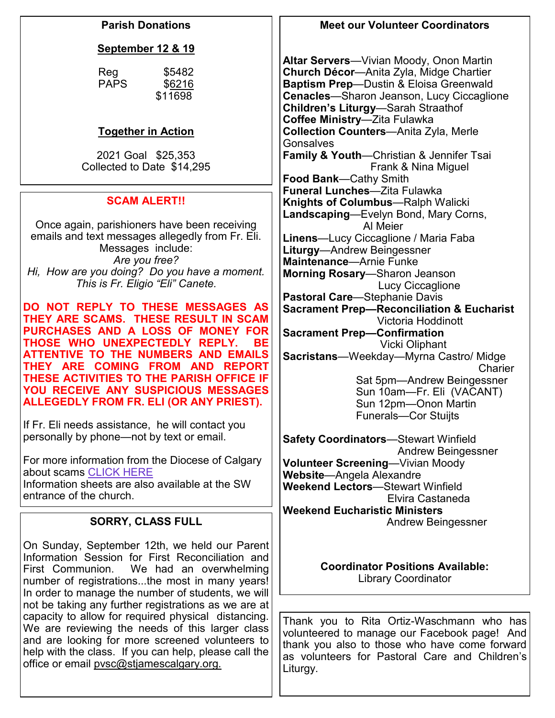# **Parish Donations**

# **September 12 & 19**

| Reg         | \$5482  |
|-------------|---------|
| <b>PAPS</b> | \$6216  |
|             | \$11698 |
|             |         |

# **Together in Action**

2021 Goal \$25,353 Collected to Date \$14,295

# **SCAM ALERT!!**

Once again, parishioners have been receiving emails and text messages allegedly from Fr. Eli. Messages include: *Are you free? Hi, How are you doing? Do you have a moment. This is Fr. Eligio "Eli" Canete.*

**DO NOT REPLY TO THESE MESSAGES AS THEY ARE SCAMS. THESE RESULT IN SCAM PURCHASES AND A LOSS OF MONEY FOR THOSE WHO UNEXPECTEDLY REPLY. BE ATTENTIVE TO THE NUMBERS AND EMAILS THEY ARE COMING FROM AND REPORT THESE ACTIVITIES TO THE PARISH OFFICE IF YOU RECEIVE ANY SUSPICIOUS MESSAGES ALLEGEDLY FROM FR. ELI (OR ANY PRIEST).**

If Fr. Eli needs assistance, he will contact you personally by phone—not by text or email.

For more information from the Diocese of Calgary about scams [CLICK HERE](https://www.catholicyyc.ca/blog/scams-alert) Information sheets are also available at the SW entrance of the church.

# **SORRY, CLASS FULL**

On Sunday, September 12th, we held our Parent Information Session for First Reconciliation and First Communion. We had an overwhelming number of registrations...the most in many years! In order to manage the number of students, we will not be taking any further registrations as we are at capacity to allow for required physical distancing. We are reviewing the needs of this larger class and are looking for more screened volunteers to help with the class. If you can help, please call the office or email pvsc@stjamescalgary.org.

# **Meet our Volunteer Coordinators**

**Altar Servers**—Vivian Moody, Onon Martin **Church Décor**—Anita Zyla, Midge Chartier **Baptism Prep**—Dustin & Eloisa Greenwald **Cenacles**—Sharon Jeanson, Lucy Ciccaglione **Children's Liturgy**—Sarah Straathof **Coffee Ministry**—Zita Fulawka **Collection Counters**—Anita Zyla, Merle **Gonsalves Family & Youth**—Christian & Jennifer Tsai Frank & Nina Miguel **Food Bank**—Cathy Smith **Funeral Lunches**—Zita Fulawka **Knights of Columbus**—Ralph Walicki **Landscaping**—Evelyn Bond, Mary Corns, Al Meier **Linens**—Lucy Ciccaglione / Maria Faba **Liturgy**—Andrew Beingessner **Maintenance**—Arnie Funke **Morning Rosary**—Sharon Jeanson Lucy Ciccaglione **Pastoral Care**—Stephanie Davis **Sacrament Prep—Reconciliation & Eucharist** Victoria Hoddinott **Sacrament Prep—Confirmation** Vicki Oliphant **Sacristans**—Weekday—Myrna Castro/ Midge **Charier**  Sat 5pm—Andrew Beingessner Sun 10am—Fr. Eli (VACANT) Sun 12pm—Onon Martin Funerals—Cor Stuijts **Safety Coordinators**—Stewart Winfield Andrew Beingessner **Volunteer Screening**—Vivian Moody **Website**—Angela Alexandre **Weekend Lectors**—Stewart Winfield Elvira Castaneda **Weekend Eucharistic Ministers**

Andrew Beingessner

# **Coordinator Positions Available:** Library Coordinator

Thank you to Rita Ortiz-Waschmann who has volunteered to manage our Facebook page! And thank you also to those who have come forward as volunteers for Pastoral Care and Children's Liturgy.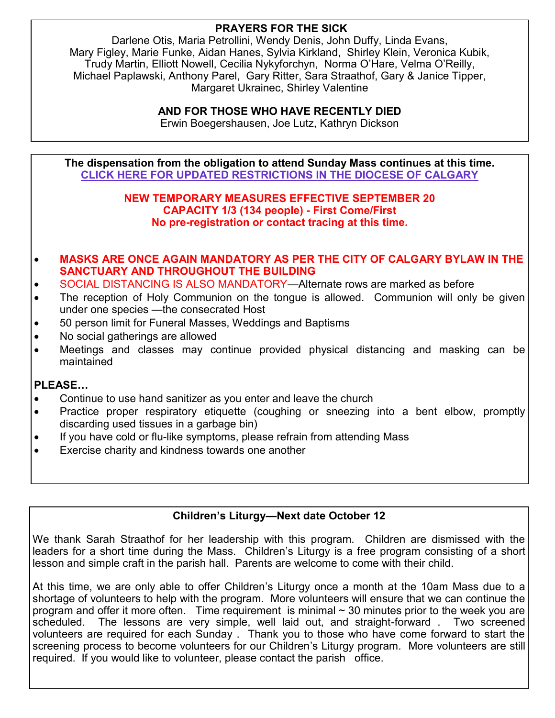# **PRAYERS FOR THE SICK**

Darlene Otis, Maria Petrollini, Wendy Denis, John Duffy, Linda Evans, Mary Figley, Marie Funke, Aidan Hanes, Sylvia Kirkland, Shirley Klein, Veronica Kubik, Trudy Martin, Elliott Nowell, Cecilia Nykyforchyn, Norma O'Hare, Velma O'Reilly, Michael Paplawski, Anthony Parel, Gary Ritter, Sara Straathof, Gary & Janice Tipper, Margaret Ukrainec, Shirley Valentine

# **AND FOR THOSE WHO HAVE RECENTLY DIED**

Erwin Boegershausen, Joe Lutz, Kathryn Dickson

**The dispensation from the obligation to attend Sunday Mass continues at this time. [CLlCK HERE FOR UPDATED RESTRICTIONS IN THE DIOCESE OF CALGARY](https://www.catholicyyc.ca/uploads/6/5/5/7/65570685/memorandum_temporary_measures_september_3_2021.pdf)**

#### **NEW TEMPORARY MEASURES EFFECTIVE SEPTEMBER 20 CAPACITY 1/3 (134 people) - First Come/First No pre-registration or contact tracing at this time.**

# • **MASKS ARE ONCE AGAIN MANDATORY AS PER THE CITY OF CALGARY BYLAW IN THE SANCTUARY AND THROUGHOUT THE BUILDING**

- SOCIAL DISTANCING IS ALSO MANDATORY—Alternate rows are marked as before
- The reception of Holy Communion on the tongue is allowed. Communion will only be given under one species —the consecrated Host
- 50 person limit for Funeral Masses, Weddings and Baptisms
- No social gatherings are allowed
- Meetings and classes may continue provided physical distancing and masking can be maintained

# **PLEASE…**

- Continue to use hand sanitizer as you enter and leave the church
- Practice proper respiratory etiquette (coughing or sneezing into a bent elbow, promptly discarding used tissues in a garbage bin)
- If you have cold or flu-like symptoms, please refrain from attending Mass
- Exercise charity and kindness towards one another

# **Children's Liturgy—Next date October 12**

We thank Sarah Straathof for her leadership with this program. Children are dismissed with the leaders for a short time during the Mass. Children's Liturgy is a free program consisting of a short lesson and simple craft in the parish hall. Parents are welcome to come with their child.

At this time, we are only able to offer Children's Liturgy once a month at the 10am Mass due to a shortage of volunteers to help with the program. More volunteers will ensure that we can continue the program and offer it more often. Time requirement is minimal  $\sim$  30 minutes prior to the week you are scheduled. The lessons are very simple, well laid out, and straight-forward . Two screened volunteers are required for each Sunday . Thank you to those who have come forward to start the screening process to become volunteers for our Children's Liturgy program. More volunteers are still required. If you would like to volunteer, please contact the parish office.